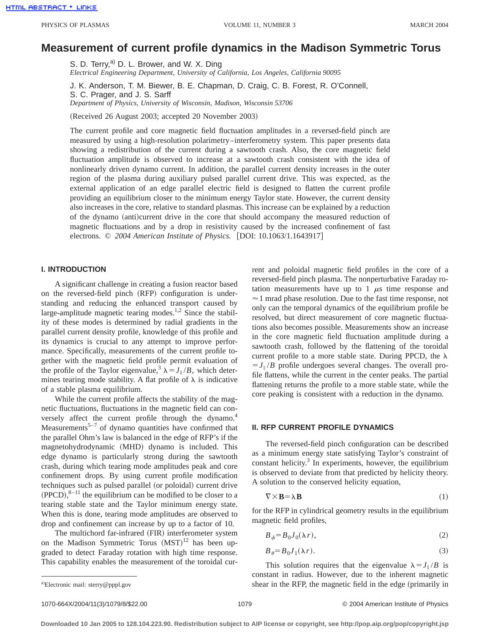# **Measurement of current profile dynamics in the Madison Symmetric Torus**

S. D. Terry,<sup>a)</sup> D. L. Brower, and W. X. Ding *Electrical Engineering Department, University of California, Los Angeles, California 90095*

J. K. Anderson, T. M. Biewer, B. E. Chapman, D. Craig, C. B. Forest, R. O'Connell, S. C. Prager, and J. S. Sarff *Department of Physics, University of Wisconsin, Madison, Wisconsin 53706*

(Received 26 August 2003; accepted 20 November 2003)

The current profile and core magnetic field fluctuation amplitudes in a reversed-field pinch are measured by using a high-resolution polarimetry–interferometry system. This paper presents data showing a redistribution of the current during a sawtooth crash. Also, the core magnetic field fluctuation amplitude is observed to increase at a sawtooth crash consistent with the idea of nonlinearly driven dynamo current. In addition, the parallel current density increases in the outer region of the plasma during auxiliary pulsed parallel current drive. This was expected, as the external application of an edge parallel electric field is designed to flatten the current profile providing an equilibrium closer to the minimum energy Taylor state. However, the current density also increases in the core, relative to standard plasmas. This increase can be explained by a reduction of the dynamo (anti)current drive in the core that should accompany the measured reduction of magnetic fluctuations and by a drop in resistivity caused by the increased confinement of fast electrons. © 2004 American Institute of Physics. [DOI: 10.1063/1.1643917]

# **I. INTRODUCTION**

A significant challenge in creating a fusion reactor based on the reversed-field pinch (RFP) configuration is understanding and reducing the enhanced transport caused by large-amplitude magnetic tearing modes.<sup>1,2</sup> Since the stability of these modes is determined by radial gradients in the parallel current density profile, knowledge of this profile and its dynamics is crucial to any attempt to improve performance. Specifically, measurements of the current profile together with the magnetic field profile permit evaluation of the profile of the Taylor eigenvalue,<sup>3</sup>  $\lambda = J_{\parallel}/B$ , which determines tearing mode stability. A flat profile of  $\lambda$  is indicative of a stable plasma equilibrium.

While the current profile affects the stability of the magnetic fluctuations, fluctuations in the magnetic field can conversely affect the current profile through the dynamo.<sup>4</sup> Measurements<sup>5–7</sup> of dynamo quantities have confirmed that the parallel Ohm's law is balanced in the edge of RFP's if the magnetohydrodynamic (MHD) dynamo is included. This edge dynamo is particularly strong during the sawtooth crash, during which tearing mode amplitudes peak and core confinement drops. By using current profile modification techniques such as pulsed parallel (or poloidal) current drive  $(PPCD),$ <sup>8-11</sup> the equilibrium can be modified to be closer to a tearing stable state and the Taylor minimum energy state. When this is done, tearing mode amplitudes are observed to drop and confinement can increase by up to a factor of 10.

The multichord far-infrared (FIR) interferometer system on the Madison Symmetric Torus  $(MST)^{12}$  has been upgraded to detect Faraday rotation with high time response. This capability enables the measurement of the toroidal current and poloidal magnetic field profiles in the core of a reversed-field pinch plasma. The nonperturbative Faraday rotation measurements have up to  $1 \mu s$  time response and  $\approx$  1 mrad phase resolution. Due to the fast time response, not only can the temporal dynamics of the equilibrium profile be resolved, but direct measurement of core magnetic fluctuations also becomes possible. Measurements show an increase in the core magnetic field fluctuation amplitude during a sawtooth crash, followed by the flattening of the toroidal current profile to a more stable state. During PPCD, the  $\lambda$  $= J_{\parallel}/B$  profile undergoes several changes. The overall profile flattens, while the current in the center peaks. The partial flattening returns the profile to a more stable state, while the core peaking is consistent with a reduction in the dynamo.

## **II. RFP CURRENT PROFILE DYNAMICS**

The reversed-field pinch configuration can be described as a minimum energy state satisfying Taylor's constraint of constant helicity. $3$  In experiments, however, the equilibrium is observed to deviate from that predicted by helicity theory. A solution to the conserved helicity equation,

$$
\nabla \times \mathbf{B} = \lambda \mathbf{B} \tag{1}
$$

for the RFP in cylindrical geometry results in the equilibrium magnetic field profiles,

$$
B_{\phi} = B_0 J_0(\lambda r),\tag{2}
$$

$$
B_{\theta} = B_0 J_1(\lambda r). \tag{3}
$$

This solution requires that the eigenvalue  $\lambda = J_{\parallel}/B$  is constant in radius. However, due to the inherent magnetic shear in the RFP, the magnetic field in the edge (primarily in

1070-664X/2004/11(3)/1079/8/\$22.00 © 2004 American Institute of Physics 1079

a)Electronic mail: sterry@pppl.gov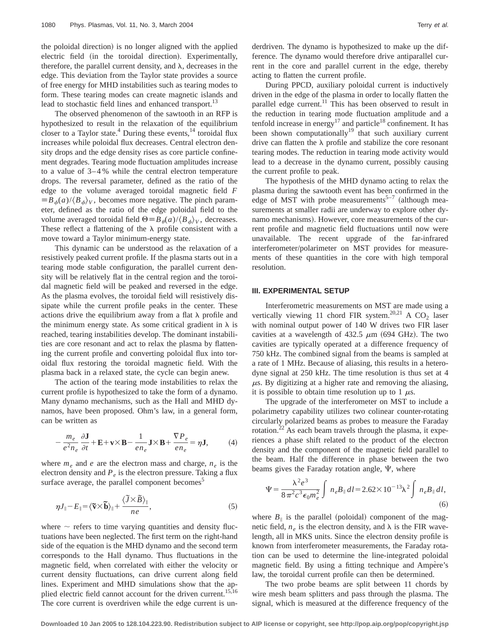the poloidal direction) is no longer aligned with the applied electric field (in the toroidal direction). Experimentally, therefore, the parallel current density, and  $\lambda$ , decreases in the edge. This deviation from the Taylor state provides a source of free energy for MHD instabilities such as tearing modes to form. These tearing modes can create magnetic islands and lead to stochastic field lines and enhanced transport.<sup>13</sup>

The observed phenomenon of the sawtooth in an RFP is hypothesized to result in the relaxation of the equilibrium closer to a Taylor state.<sup>4</sup> During these events,  $14$  toroidal flux increases while poloidal flux decreases. Central electron density drops and the edge density rises as core particle confinement degrades. Tearing mode fluctuation amplitudes increase to a value of 3–4 % while the central electron temperature drops. The reversal parameter, defined as the ratio of the edge to the volume averaged toroidal magnetic field *F*  $\equiv B_{\phi}(a)/\langle B_{\phi}\rangle_{V}$ , becomes more negative. The pinch parameter, defined as the ratio of the edge poloidal field to the volume averaged toroidal field  $\Theta = B_\theta(a)/\langle B_\phi\rangle_V$ , decreases. These reflect a flattening of the  $\lambda$  profile consistent with a move toward a Taylor minimum-energy state.

This dynamic can be understood as the relaxation of a resistively peaked current profile. If the plasma starts out in a tearing mode stable configuration, the parallel current density will be relatively flat in the central region and the toroidal magnetic field will be peaked and reversed in the edge. As the plasma evolves, the toroidal field will resistively dissipate while the current profile peaks in the center. These actions drive the equilibrium away from a flat  $\lambda$  profile and the minimum energy state. As some critical gradient in  $\lambda$  is reached, tearing instabilities develop. The dominant instabilities are core resonant and act to relax the plasma by flattening the current profile and converting poloidal flux into toroidal flux restoring the toroidal magnetic field. With the plasma back in a relaxed state, the cycle can begin anew.

The action of the tearing mode instabilities to relax the current profile is hypothesized to take the form of a dynamo. Many dynamo mechanisms, such as the Hall and MHD dynamos, have been proposed. Ohm's law, in a general form, can be written as

$$
-\frac{m_e}{e^2 n_e} \frac{\partial \mathbf{J}}{\partial t} + \mathbf{E} + \mathbf{v} \times \mathbf{B} - \frac{1}{e n_e} \mathbf{J} \times \mathbf{B} + \frac{\nabla P_e}{e n_e} = \eta \mathbf{J},\tag{4}
$$

where  $m_e$  and  $e$  are the electron mass and charge,  $n_e$  is the electron density and  $P_e$  is the electron pressure. Taking a flux surface average, the parallel component becomes<sup>5</sup>

$$
\eta J_{\parallel} - E_{\parallel} = \langle \widetilde{\mathbf{v}} \times \widetilde{\mathbf{b}} \rangle_{\parallel} + \frac{\langle \widetilde{J} \times \widetilde{B} \rangle_{\parallel}}{ne}, \qquad (5)
$$

where  $\sim$  refers to time varying quantities and density fluctuations have been neglected. The first term on the right-hand side of the equation is the MHD dynamo and the second term corresponds to the Hall dynamo. Thus fluctuations in the magnetic field, when correlated with either the velocity or current density fluctuations, can drive current along field lines. Experiment and MHD simulations show that the applied electric field cannot account for the driven current.<sup>15,16</sup> The core current is overdriven while the edge current is underdriven. The dynamo is hypothesized to make up the difference. The dynamo would therefore drive antiparallel current in the core and parallel current in the edge, thereby acting to flatten the current profile.

During PPCD, auxiliary poloidal current is inductively driven in the edge of the plasma in order to locally flatten the parallel edge current.<sup>11</sup> This has been observed to result in the reduction in tearing mode fluctuation amplitude and a tenfold increase in energy<sup>17</sup> and particle<sup>18</sup> confinement. It has been shown computationally<sup>19</sup> that such auxiliary current drive can flatten the  $\lambda$  profile and stabilize the core resonant tearing modes. The reduction in tearing mode activity would lead to a decrease in the dynamo current, possibly causing the current profile to peak.

The hypothesis of the MHD dynamo acting to relax the plasma during the sawtooth event has been confirmed in the edge of MST with probe measurements<sup>5-7</sup> (although measurements at smaller radii are underway to explore other dynamo mechanisms). However, core measurements of the current profile and magnetic field fluctuations until now were unavailable. The recent upgrade of the far-infrared interferometer/polarimeter on MST provides for measurements of these quantities in the core with high temporal resolution.

## **III. EXPERIMENTAL SETUP**

Interferometric measurements on MST are made using a vertically viewing 11 chord FIR system.<sup>20,21</sup> A CO<sub>2</sub> laser with nominal output power of 140 W drives two FIR laser cavities at a wavelength of 432.5  $\mu$ m (694 GHz). The two cavities are typically operated at a difference frequency of 750 kHz. The combined signal from the beams is sampled at a rate of 1 MHz. Because of aliasing, this results in a heterodyne signal at 250 kHz. The time resolution is thus set at 4  $\mu$ s. By digitizing at a higher rate and removing the aliasing, it is possible to obtain time resolution up to 1  $\mu$ s.

The upgrade of the interferometer on MST to include a polarimetry capability utilizes two colinear counter-rotating circularly polarized beams as probes to measure the Faraday rotation.<sup>22</sup> As each beam travels through the plasma, it experiences a phase shift related to the product of the electron density and the component of the magnetic field parallel to the beam. Half the difference in phase between the two beams gives the Faraday rotation angle,  $\Psi$ , where

$$
\Psi = \frac{\lambda^2 e^3}{8 \pi^2 c^3 \epsilon_0 m_e^2} \int n_e B_{\parallel} dl = 2.62 \times 10^{-13} \lambda^2 \int n_e B_{\parallel} dl,
$$
\n(6)

where  $B_{\parallel}$  is the parallel (poloidal) component of the magnetic field,  $n_e$  is the electron density, and  $\lambda$  is the FIR wavelength, all in MKS units. Since the electron density profile is known from interferometer measurements, the Faraday rotation can be used to determine the line-integrated poloidal magnetic field. By using a fitting technique and Ampère's law, the toroidal current profile can then be determined.

The two probe beams are split between 11 chords by wire mesh beam splitters and pass through the plasma. The signal, which is measured at the difference frequency of the

**Downloaded 10 Jan 2005 to 128.104.223.90. Redistribution subject to AIP license or copyright, see http://pop.aip.org/pop/copyright.jsp**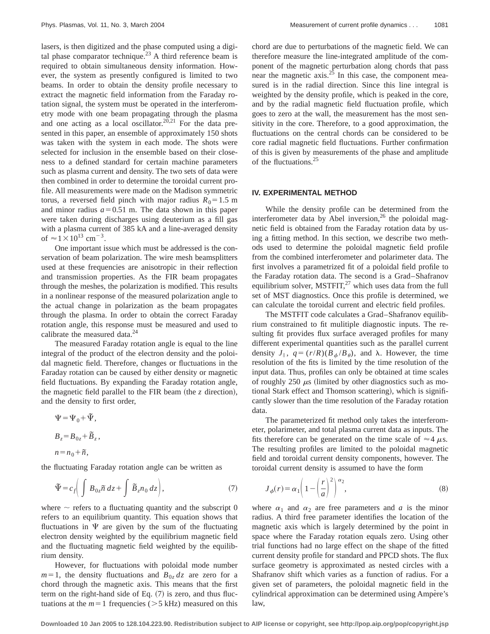lasers, is then digitized and the phase computed using a digital phase comparator technique.<sup>23</sup> A third reference beam is required to obtain simultaneous density information. However, the system as presently configured is limited to two beams. In order to obtain the density profile necessary to extract the magnetic field information from the Faraday rotation signal, the system must be operated in the interferometry mode with one beam propagating through the plasma and one acting as a local oscillator.<sup>20,21</sup> For the data presented in this paper, an ensemble of approximately 150 shots was taken with the system in each mode. The shots were selected for inclusion in the ensemble based on their closeness to a defined standard for certain machine parameters such as plasma current and density. The two sets of data were then combined in order to determine the toroidal current profile. All measurements were made on the Madison symmetric torus, a reversed field pinch with major radius  $R_0 = 1.5$  m and minor radius  $a=0.51$  m. The data shown in this paper were taken during discharges using deuterium as a fill gas with a plasma current of 385 kA and a line-averaged density of  $\approx 1 \times 10^{13}$  cm<sup>-3</sup>.

One important issue which must be addressed is the conservation of beam polarization. The wire mesh beamsplitters used at these frequencies are anisotropic in their reflection and transmission properties. As the FIR beam propagates through the meshes, the polarization is modified. This results in a nonlinear response of the measured polarization angle to the actual change in polarization as the beam propagates through the plasma. In order to obtain the correct Faraday rotation angle, this response must be measured and used to calibrate the measured data.<sup>24</sup>

The measured Faraday rotation angle is equal to the line integral of the product of the electron density and the poloidal magnetic field. Therefore, changes or fluctuations in the Faraday rotation can be caused by either density or magnetic field fluctuations. By expanding the Faraday rotation angle, the magnetic field parallel to the FIR beam (the  $z$  direction), and the density to first order,

$$
\Psi = \Psi_0 + \tilde{\Psi},
$$
  
\n
$$
B_z = B_{0z} + \tilde{B}_z,
$$
  
\n
$$
n = n_0 + \tilde{n},
$$

the fluctuating Faraday rotation angle can be written as

$$
\tilde{\Psi} = c_f \bigg( \int B_{0z} \tilde{n} \, dz + \int \tilde{B}_z n_0 \, dz \bigg),\tag{7}
$$

where  $\sim$  refers to a fluctuating quantity and the subscript 0 refers to an equilibrium quantity. This equation shows that fluctuations in  $\Psi$  are given by the sum of the fluctuating electron density weighted by the equilibrium magnetic field and the fluctuating magnetic field weighted by the equilibrium density.

However, for fluctuations with poloidal mode number  $m=1$ , the density fluctuations and  $B_{0z}$  *dz* are zero for a chord through the magnetic axis. This means that the first term on the right-hand side of Eq.  $(7)$  is zero, and thus fluctuations at the  $m=1$  frequencies ( $>5$  kHz) measured on this chord are due to perturbations of the magnetic field. We can therefore measure the line-integrated amplitude of the component of the magnetic perturbation along chords that pass near the magnetic  $axis.<sup>25</sup>$  In this case, the component measured is in the radial direction. Since this line integral is weighted by the density profile, which is peaked in the core, and by the radial magnetic field fluctuation profile, which goes to zero at the wall, the measurement has the most sensitivity in the core. Therefore, to a good approximation, the fluctuations on the central chords can be considered to be core radial magnetic field fluctuations. Further confirmation of this is given by measurements of the phase and amplitude of the fluctuations.<sup>25</sup>

#### **IV. EXPERIMENTAL METHOD**

While the density profile can be determined from the interferometer data by Abel inversion, $^{26}$  the poloidal magnetic field is obtained from the Faraday rotation data by using a fitting method. In this section, we describe two methods used to determine the poloidal magnetic field profile from the combined interferometer and polarimeter data. The first involves a parametrized fit of a poloidal field profile to the Faraday rotation data. The second is a Grad–Shafranov equilibrium solver, MSTFIT, $^{27}$  which uses data from the full set of MST diagnostics. Once this profile is determined, we can calculate the toroidal current and electric field profiles.

The MSTFIT code calculates a Grad–Shafranov equilibrium constrained to fit mulitiple diagnostic inputs. The resulting fit provides flux surface averaged profiles for many different experimental quantities such as the parallel current density  $J_{\parallel}$ ,  $q = (r/R)(B_{\phi}/B_{\theta})$ , and  $\lambda$ . However, the time resolution of the fits is limited by the time resolution of the input data. Thus, profiles can only be obtained at time scales of roughly 250  $\mu$ s (limited by other diagnostics such as motional Stark effect and Thomson scattering), which is significantly slower than the time resolution of the Faraday rotation data.

The parameterized fit method only takes the interferometer, polarimeter, and total plasma current data as inputs. The fits therefore can be generated on the time scale of  $\approx$  4  $\mu$ s. The resulting profiles are limited to the poloidal magnetic field and toroidal current density components, however. The toroidal current density is assumed to have the form

$$
J_{\phi}(r) = \alpha_1 \left( 1 - \left(\frac{r}{a}\right)^2 \right)^{\alpha_2},\tag{8}
$$

where  $\alpha_1$  and  $\alpha_2$  are free parameters and a is the minor radius. A third free parameter identifies the location of the magnetic axis which is largely determined by the point in space where the Faraday rotation equals zero. Using other trial functions had no large effect on the shape of the fitted current density profile for standard and PPCD shots. The flux surface geometry is approximated as nested circles with a Shafranov shift which varies as a function of radius. For a given set of parameters, the poloidal magnetic field in the cylindrical approximation can be determined using Ampère's law,

**Downloaded 10 Jan 2005 to 128.104.223.90. Redistribution subject to AIP license or copyright, see http://pop.aip.org/pop/copyright.jsp**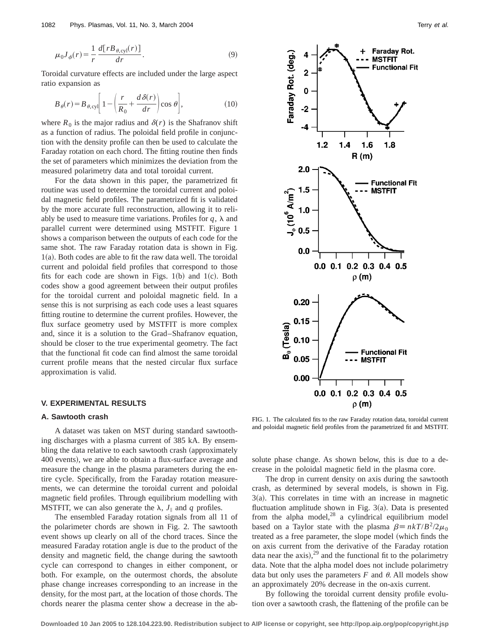$$
\mu_0 J_\phi(r) = \frac{1}{r} \frac{d[rB_{\theta,\text{cyl}}(r)]}{dr}.\tag{9}
$$

Toroidal curvature effects are included under the large aspect ratio expansion as

$$
B_{\theta}(r) = B_{\theta,\text{cyl}} \left[ 1 - \left( \frac{r}{R_0} + \frac{d\,\delta(r)}{dr} \right) \cos \theta \right],\tag{10}
$$

where  $R_0$  is the major radius and  $\delta(r)$  is the Shafranov shift as a function of radius. The poloidal field profile in conjunction with the density profile can then be used to calculate the Faraday rotation on each chord. The fitting routine then finds the set of parameters which minimizes the deviation from the measured polarimetry data and total toroidal current.

For the data shown in this paper, the parametrized fit routine was used to determine the toroidal current and poloidal magnetic field profiles. The parametrized fit is validated by the more accurate full reconstruction, allowing it to reliably be used to measure time variations. Profiles for  $q$ ,  $\lambda$  and parallel current were determined using MSTFIT. Figure 1 shows a comparison between the outputs of each code for the same shot. The raw Faraday rotation data is shown in Fig.  $1(a)$ . Both codes are able to fit the raw data well. The toroidal current and poloidal field profiles that correspond to those fits for each code are shown in Figs.  $1(b)$  and  $1(c)$ . Both codes show a good agreement between their output profiles for the toroidal current and poloidal magnetic field. In a sense this is not surprising as each code uses a least squares fitting routine to determine the current profiles. However, the flux surface geometry used by MSTFIT is more complex and, since it is a solution to the Grad–Shafranov equation, should be closer to the true experimental geometry. The fact that the functional fit code can find almost the same toroidal current profile means that the nested circular flux surface approximation is valid.

# **V. EXPERIMENTAL RESULTS**

## **A. Sawtooth crash**

A dataset was taken on MST during standard sawtoothing discharges with a plasma current of 385 kA. By ensembling the data relative to each sawtooth crash (approximately 400 events), we are able to obtain a flux-surface average and measure the change in the plasma parameters during the entire cycle. Specifically, from the Faraday rotation measurements, we can determine the toroidal current and poloidal magnetic field profiles. Through equilibrium modelling with MSTFIT, we can also generate the  $\lambda$ ,  $J_{\parallel}$  and *q* profiles.

The ensembled Faraday rotation signals from all 11 of the polarimeter chords are shown in Fig. 2. The sawtooth event shows up clearly on all of the chord traces. Since the measured Faraday rotation angle is due to the product of the density and magnetic field, the change during the sawtooth cycle can correspond to changes in either component, or both. For example, on the outermost chords, the absolute phase change increases corresponding to an increase in the density, for the most part, at the location of those chords. The chords nearer the plasma center show a decrease in the ab-



FIG. 1. The calculated fits to the raw Faraday rotation data, toroidal current and poloidal magnetic field profiles from the parametrized fit and MSTFIT.

solute phase change. As shown below, this is due to a decrease in the poloidal magnetic field in the plasma core.

The drop in current density on axis during the sawtooth crash, as determined by several models, is shown in Fig.  $3(a)$ . This correlates in time with an increase in magnetic fluctuation amplitude shown in Fig.  $3(a)$ . Data is presented from the alpha model, $^{28}$  a cylindrical equilibrium model based on a Taylor state with the plasma  $\beta = n kT/B^2/2\mu_0$ treated as a free parameter, the slope model (which finds the on axis current from the derivative of the Faraday rotation data near the axis),  $29$  and the functional fit to the polarimetry data. Note that the alpha model does not include polarimetry data but only uses the parameters  $F$  and  $\theta$ . All models show an approximately 20% decrease in the on-axis current.

By following the toroidal current density profile evolution over a sawtooth crash, the flattening of the profile can be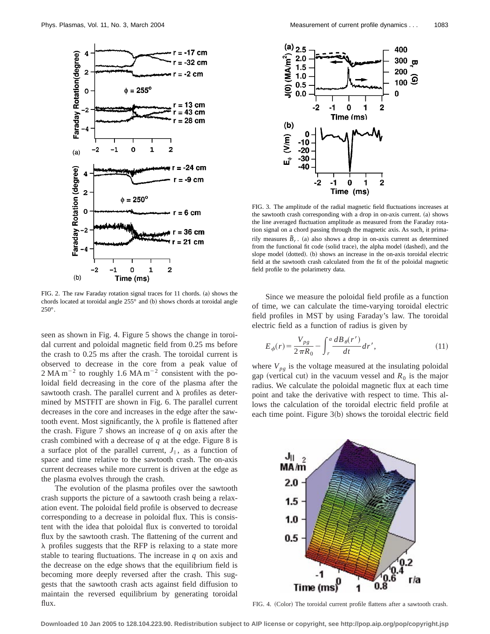

FIG. 2. The raw Faraday rotation signal traces for 11 chords. (a) shows the chords located at toroidal angle  $255^{\circ}$  and (b) shows chords at toroidal angle 250°.

seen as shown in Fig. 4. Figure 5 shows the change in toroidal current and poloidal magnetic field from 0.25 ms before the crash to 0.25 ms after the crash. The toroidal current is observed to decrease in the core from a peak value of  $2$  MA m<sup>-2</sup> to roughly 1.6 MA m<sup>-2</sup> consistent with the poloidal field decreasing in the core of the plasma after the sawtooth crash. The parallel current and  $\lambda$  profiles as determined by MSTFIT are shown in Fig. 6. The parallel current decreases in the core and increases in the edge after the sawtooth event. Most significantly, the  $\lambda$  profile is flattened after the crash. Figure 7 shows an increase of *q* on axis after the crash combined with a decrease of *q* at the edge. Figure 8 is a surface plot of the parallel current,  $J_{\parallel}$ , as a function of space and time relative to the sawtooth crash. The on-axis current decreases while more current is driven at the edge as the plasma evolves through the crash.

The evolution of the plasma profiles over the sawtooth crash supports the picture of a sawtooth crash being a relaxation event. The poloidal field profile is observed to decrease corresponding to a decrease in poloidal flux. This is consistent with the idea that poloidal flux is converted to toroidal flux by the sawtooth crash. The flattening of the current and  $\lambda$  profiles suggests that the RFP is relaxing to a state more stable to tearing fluctuations. The increase in *q* on axis and the decrease on the edge shows that the equilibrium field is becoming more deeply reversed after the crash. This suggests that the sawtooth crash acts against field diffusion to maintain the reversed equilibrium by generating toroidal flux.



FIG. 3. The amplitude of the radial magnetic field fluctuations increases at the sawtooth crash corresponding with a drop in on-axis current. (a) shows the line averaged fluctuation amplitude as measured from the Faraday rotation signal on a chord passing through the magnetic axis. As such, it primarily measures  $\tilde{B}_r$ . (a) also shows a drop in on-axis current as determined from the functional fit code (solid trace), the alpha model (dashed), and the slope model (dotted). (b) shows an increase in the on-axis toroidal electric field at the sawtooth crash calculated from the fit of the poloidal magnetic field profile to the polarimetry data.

Since we measure the poloidal field profile as a function of time, we can calculate the time-varying toroidal electric field profiles in MST by using Faraday's law. The toroidal electric field as a function of radius is given by

$$
E_{\phi}(r) = \frac{V_{pg}}{2\pi R_0} - \int_{r}^{a} \frac{dB_{\theta}(r')}{dt} dr',
$$
\n(11)

where  $V_{pg}$  is the voltage measured at the insulating poloidal gap (vertical cut) in the vacuum vessel and  $R_0$  is the major radius. We calculate the poloidal magnetic flux at each time point and take the derivative with respect to time. This allows the calculation of the toroidal electric field profile at each time point. Figure  $3(b)$  shows the toroidal electric field



FIG. 4. (Color) The toroidal current profile flattens after a sawtooth crash.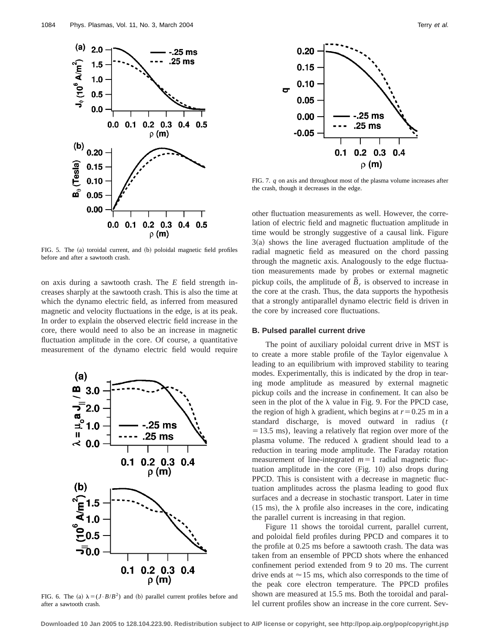

FIG. 5. The (a) toroidal current, and (b) poloidal magnetic field profiles before and after a sawtooth crash.

on axis during a sawtooth crash. The *E* field strength increases sharply at the sawtooth crash. This is also the time at which the dynamo electric field, as inferred from measured magnetic and velocity fluctuations in the edge, is at its peak. In order to explain the observed electric field increase in the core, there would need to also be an increase in magnetic fluctuation amplitude in the core. Of course, a quantitative measurement of the dynamo electric field would require



FIG. 6. The (a)  $\lambda = (J \cdot B/B^2)$  and (b) parallel current profiles before and after a sawtooth crash.



FIG. 7. *q* on axis and throughout most of the plasma volume increases after the crash, though it decreases in the edge.

other fluctuation measurements as well. However, the correlation of electric field and magnetic fluctuation amplitude in time would be strongly suggestive of a causal link. Figure  $3(a)$  shows the line averaged fluctuation amplitude of the radial magnetic field as measured on the chord passing through the magnetic axis. Analogously to the edge fluctuation measurements made by probes or external magnetic pickup coils, the amplitude of  $\tilde{B}_r$  is observed to increase in the core at the crash. Thus, the data supports the hypothesis that a strongly antiparallel dynamo electric field is driven in the core by increased core fluctuations.

#### **B. Pulsed parallel current drive**

The point of auxiliary poloidal current drive in MST is to create a more stable profile of the Taylor eigenvalue  $\lambda$ leading to an equilibrium with improved stability to tearing modes. Experimentally, this is indicated by the drop in tearing mode amplitude as measured by external magnetic pickup coils and the increase in confinement. It can also be seen in the plot of the  $\lambda$  value in Fig. 9. For the PPCD case, the region of high  $\lambda$  gradient, which begins at  $r=0.25$  m in a standard discharge, is moved outward in radius (*t*  $=13.5$  ms), leaving a relatively flat region over more of the plasma volume. The reduced  $\lambda$  gradient should lead to a reduction in tearing mode amplitude. The Faraday rotation measurement of line-integrated  $m=1$  radial magnetic fluctuation amplitude in the core  $(Fig. 10)$  also drops during PPCD. This is consistent with a decrease in magnetic fluctuation amplitudes across the plasma leading to good flux surfaces and a decrease in stochastic transport. Later in time  $(15 \text{ ms})$ , the  $\lambda$  profile also increases in the core, indicating the parallel current is increasing in that region.

Figure 11 shows the toroidal current, parallel current, and poloidal field profiles during PPCD and compares it to the profile at 0.25 ms before a sawtooth crash. The data was taken from an ensemble of PPCD shots where the enhanced confinement period extended from 9 to 20 ms. The current drive ends at  $\approx$  15 ms, which also corresponds to the time of the peak core electron temperature. The PPCD profiles shown are measured at 15.5 ms. Both the toroidal and parallel current profiles show an increase in the core current. Sev-

**Downloaded 10 Jan 2005 to 128.104.223.90. Redistribution subject to AIP license or copyright, see http://pop.aip.org/pop/copyright.jsp**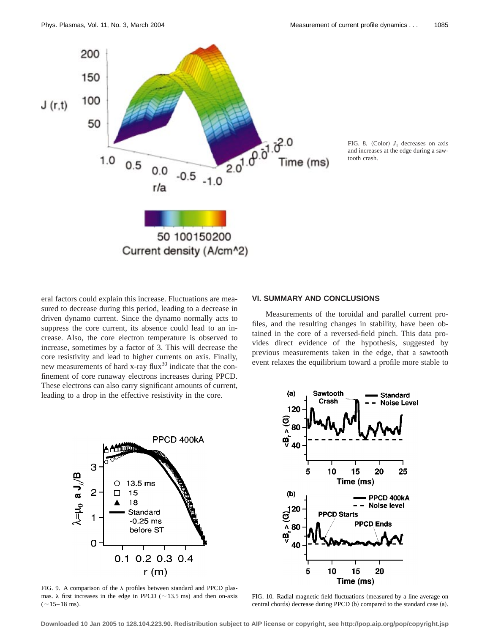

FIG. 8. (Color)  $J_{\parallel}$  decreases on axis and increases at the edge during a sawtooth crash.

eral factors could explain this increase. Fluctuations are measured to decrease during this period, leading to a decrease in driven dynamo current. Since the dynamo normally acts to suppress the core current, its absence could lead to an increase. Also, the core electron temperature is observed to increase, sometimes by a factor of 3. This will decrease the core resistivity and lead to higher currents on axis. Finally, new measurements of hard x-ray flux $30$  indicate that the confinement of core runaway electrons increases during PPCD. These electrons can also carry significant amounts of current, leading to a drop in the effective resistivity in the core.



FIG. 9. A comparison of the  $\lambda$  profiles between standard and PPCD plasmas.  $\lambda$  first increases in the edge in PPCD ( $\sim$ 13.5 ms) and then on-axis  $(~15-18$  ms).

# **VI. SUMMARY AND CONCLUSIONS**

Measurements of the toroidal and parallel current profiles, and the resulting changes in stability, have been obtained in the core of a reversed-field pinch. This data provides direct evidence of the hypothesis, suggested by previous measurements taken in the edge, that a sawtooth event relaxes the equilibrium toward a profile more stable to



FIG. 10. Radial magnetic field fluctuations (measured by a line average on central chords) decrease during PPCD (b) compared to the standard case (a).

**Downloaded 10 Jan 2005 to 128.104.223.90. Redistribution subject to AIP license or copyright, see http://pop.aip.org/pop/copyright.jsp**